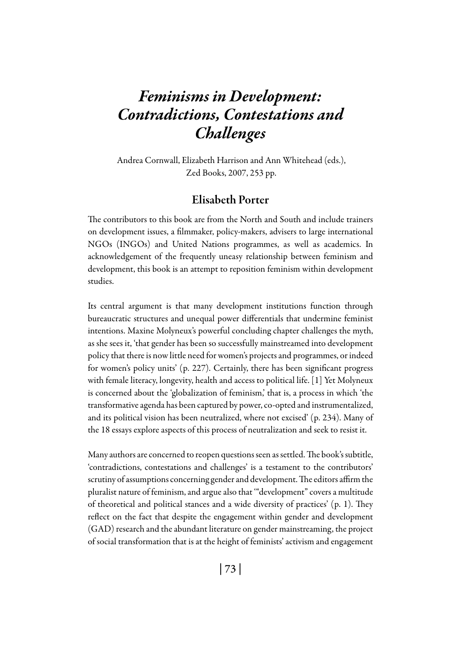# *Feminisms in Development: Contradictions, Contestations and Challenges*

 Andrea Cornwall, Elizabeth Harrison and Ann Whitehead (eds.), Zed Books, 2007, 253 pp.

# Elisabeth Porter

The contributors to this book are from the North and South and include trainers on development issues, a filmmaker, policy-makers, advisers to large international NGOs (INGOs) and United Nations programmes, as well as academics. In acknowledgement of the frequently uneasy relationship between feminism and development, this book is an attempt to reposition feminism within development studies.

Its central argument is that many development institutions function through bureaucratic structures and unequal power differentials that undermine feminist intentions. Maxine Molyneux's powerful concluding chapter challenges the myth, as she sees it, 'that gender has been so successfully mainstreamed into development policy that there is now little need for women's projects and programmes, or indeed for women's policy units' (p. 227). Certainly, there has been significant progress with female literacy, longevity, health and access to political life. [1] Yet Molyneux is concerned about the 'globalization of feminism,' that is, a process in which 'the transformative agenda has been captured by power, co-opted and instrumentalized, and its political vision has been neutralized, where not excised' (p. 234). Many of the 18 essays explore aspects of this process of neutralization and seek to resist it.

Many authors are concerned to reopen questions seen as settled. The book's subtitle, 'contradictions, contestations and challenges' is a testament to the contributors' scrutiny of assumptions concerning gender and development. The editors affirm the pluralist nature of feminism, and argue also that '"development" covers a multitude of theoretical and political stances and a wide diversity of practices' (p. 1). They reflect on the fact that despite the engagement within gender and development (GAD) research and the abundant literature on gender mainstreaming, the project of social transformation that is at the height of feminists' activism and engagement

| 73 |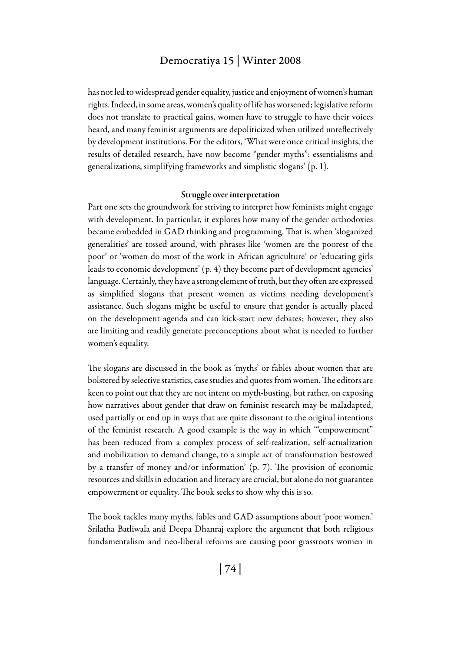## Democratiya 15 | Winter 2008

has not led to widespread gender equality, justice and enjoyment of women's human rights. Indeed, in some areas, women's quality of life has worsened; legislative reform does not translate to practical gains, women have to struggle to have their voices heard, and many feminist arguments are depoliticized when utilized unreflectively by development institutions. For the editors, 'What were once critical insights, the results of detailed research, have now become "gender myths": essentialisms and generalizations, simplifying frameworks and simplistic slogans' (p. 1).

#### Struggle over interpretation

Part one sets the groundwork for striving to interpret how feminists might engage with development. In particular, it explores how many of the gender orthodoxies became embedded in GAD thinking and programming. That is, when 'sloganized generalities' are tossed around, with phrases like 'women are the poorest of the poor' or 'women do most of the work in African agriculture' or 'educating girls leads to economic development' (p. 4) they become part of development agencies' language. Certainly, they have a strong element of truth, but they often are expressed as simplified slogans that present women as victims needing development's assistance. Such slogans might be useful to ensure that gender is actually placed on the development agenda and can kick-start new debates; however, they also are limiting and readily generate preconceptions about what is needed to further women's equality.

The slogans are discussed in the book as 'myths' or fables about women that are bolstered by selective statistics, case studies and quotes from women. The editors are keen to point out that they are not intent on myth-busting, but rather, on exposing how narratives about gender that draw on feminist research may be maladapted, used partially or end up in ways that are quite dissonant to the original intentions of the feminist research. A good example is the way in which '"empowerment" has been reduced from a complex process of self-realization, self-actualization and mobilization to demand change, to a simple act of transformation bestowed by a transfer of money and/or information' (p. 7). The provision of economic resources and skills in education and literacy are crucial, but alone do not guarantee empowerment or equality. The book seeks to show why this is so.

The book tackles many myths, fables and GAD assumptions about 'poor women.' Srilatha Batliwala and Deepa Dhanraj explore the argument that both religious fundamentalism and neo-liberal reforms are causing poor grassroots women in

| 74 |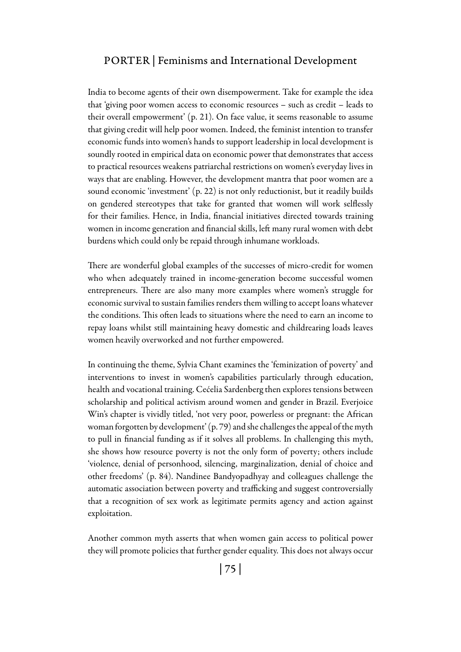## PORTER | Feminisms and International Development

India to become agents of their own disempowerment. Take for example the idea that 'giving poor women access to economic resources – such as credit – leads to their overall empowerment' (p. 21). On face value, it seems reasonable to assume that giving credit will help poor women. Indeed, the feminist intention to transfer economic funds into women's hands to support leadership in local development is soundly rooted in empirical data on economic power that demonstrates that access to practical resources weakens patriarchal restrictions on women's everyday lives in ways that are enabling. However, the development mantra that poor women are a sound economic 'investment' (p. 22) is not only reductionist, but it readily builds on gendered stereotypes that take for granted that women will work selflessly for their families. Hence, in India, financial initiatives directed towards training women in income generation and financial skills, left many rural women with debt burdens which could only be repaid through inhumane workloads.

There are wonderful global examples of the successes of micro-credit for women who when adequately trained in income-generation become successful women entrepreneurs. There are also many more examples where women's struggle for economic survival to sustain families renders them willing to accept loans whatever the conditions. This often leads to situations where the need to earn an income to repay loans whilst still maintaining heavy domestic and childrearing loads leaves women heavily overworked and not further empowered.

In continuing the theme, Sylvia Chant examines the 'feminization of poverty' and interventions to invest in women's capabilities particularly through education, health and vocational training. Cećelia Sardenberg then explores tensions between scholarship and political activism around women and gender in Brazil. Everjoice Win's chapter is vividly titled, 'not very poor, powerless or pregnant: the African woman forgotten by development' (p. 79) and she challenges the appeal of the myth to pull in financial funding as if it solves all problems. In challenging this myth, she shows how resource poverty is not the only form of poverty; others include 'violence, denial of personhood, silencing, marginalization, denial of choice and other freedoms' (p. 84). Nandinee Bandyopadhyay and colleagues challenge the automatic association between poverty and trafficking and suggest controversially that a recognition of sex work as legitimate permits agency and action against exploitation.

Another common myth asserts that when women gain access to political power they will promote policies that further gender equality. This does not always occur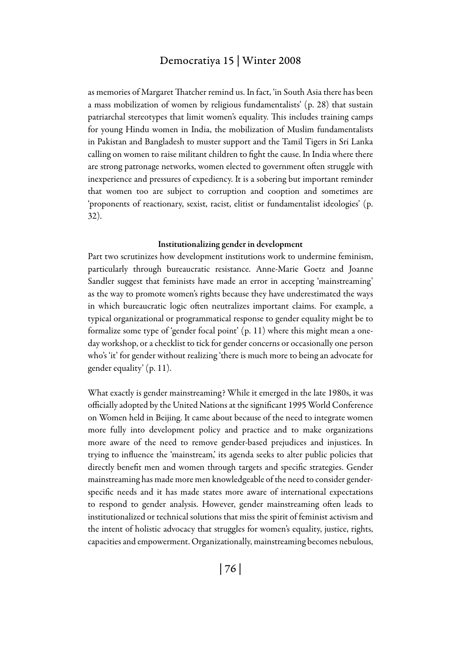## Democratiya 15 | Winter 2008

as memories of Margaret Thatcher remind us. In fact, 'in South Asia there has been a mass mobilization of women by religious fundamentalists' (p. 28) that sustain patriarchal stereotypes that limit women's equality. This includes training camps for young Hindu women in India, the mobilization of Muslim fundamentalists in Pakistan and Bangladesh to muster support and the Tamil Tigers in Sri Lanka calling on women to raise militant children to fight the cause. In India where there are strong patronage networks, women elected to government often struggle with inexperience and pressures of expediency. It is a sobering but important reminder that women too are subject to corruption and cooption and sometimes are 'proponents of reactionary, sexist, racist, elitist or fundamentalist ideologies' (p. 32).

#### Institutionalizing gender in development

Part two scrutinizes how development institutions work to undermine feminism, particularly through bureaucratic resistance. Anne-Marie Goetz and Joanne Sandler suggest that feminists have made an error in accepting 'mainstreaming' as the way to promote women's rights because they have underestimated the ways in which bureaucratic logic often neutralizes important claims. For example, a typical organizational or programmatical response to gender equality might be to formalize some type of 'gender focal point' (p. 11) where this might mean a oneday workshop, or a checklist to tick for gender concerns or occasionally one person who's 'it' for gender without realizing 'there is much more to being an advocate for gender equality' (p. 11).

What exactly is gender mainstreaming? While it emerged in the late 1980s, it was officially adopted by the United Nations at the significant 1995 World Conference on Women held in Beijing. It came about because of the need to integrate women more fully into development policy and practice and to make organizations more aware of the need to remove gender-based prejudices and injustices. In trying to influence the 'mainstream,' its agenda seeks to alter public policies that directly benefit men and women through targets and specific strategies. Gender mainstreaming has made more men knowledgeable of the need to consider genderspecific needs and it has made states more aware of international expectations to respond to gender analysis. However, gender mainstreaming often leads to institutionalized or technical solutions that miss the spirit of feminist activism and the intent of holistic advocacy that struggles for women's equality, justice, rights, capacities and empowerment. Organizationally, mainstreaming becomes nebulous,

| 76 |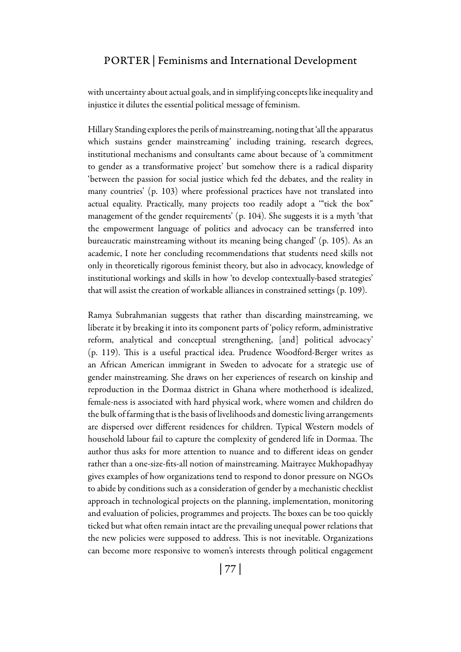## PORTER | Feminisms and International Development

with uncertainty about actual goals, and in simplifying concepts like inequality and injustice it dilutes the essential political message of feminism.

Hillary Standing explores the perils of mainstreaming, noting that 'all the apparatus which sustains gender mainstreaming' including training, research degrees, institutional mechanisms and consultants came about because of 'a commitment to gender as a transformative project' but somehow there is a radical disparity 'between the passion for social justice which fed the debates, and the reality in many countries' (p. 103) where professional practices have not translated into actual equality. Practically, many projects too readily adopt a '"tick the box" management of the gender requirements' (p. 104). She suggests it is a myth 'that the empowerment language of politics and advocacy can be transferred into bureaucratic mainstreaming without its meaning being changed' (p. 105). As an academic, I note her concluding recommendations that students need skills not only in theoretically rigorous feminist theory, but also in advocacy, knowledge of institutional workings and skills in how 'to develop contextually-based strategies' that will assist the creation of workable alliances in constrained settings (p. 109).

Ramya Subrahmanian suggests that rather than discarding mainstreaming, we liberate it by breaking it into its component parts of 'policy reform, administrative reform, analytical and conceptual strengthening, [and] political advocacy' (p. 119). This is a useful practical idea. Prudence Woodford-Berger writes as an African American immigrant in Sweden to advocate for a strategic use of gender mainstreaming. She draws on her experiences of research on kinship and reproduction in the Dormaa district in Ghana where motherhood is idealized, female-ness is associated with hard physical work, where women and children do the bulk of farming that is the basis of livelihoods and domestic living arrangements are dispersed over different residences for children. Typical Western models of household labour fail to capture the complexity of gendered life in Dormaa. The author thus asks for more attention to nuance and to different ideas on gender rather than a one-size-fits-all notion of mainstreaming. Maitrayee Mukhopadhyay gives examples of how organizations tend to respond to donor pressure on NGOs to abide by conditions such as a consideration of gender by a mechanistic checklist approach in technological projects on the planning, implementation, monitoring and evaluation of policies, programmes and projects. The boxes can be too quickly ticked but what often remain intact are the prevailing unequal power relations that the new policies were supposed to address. This is not inevitable. Organizations can become more responsive to women's interests through political engagement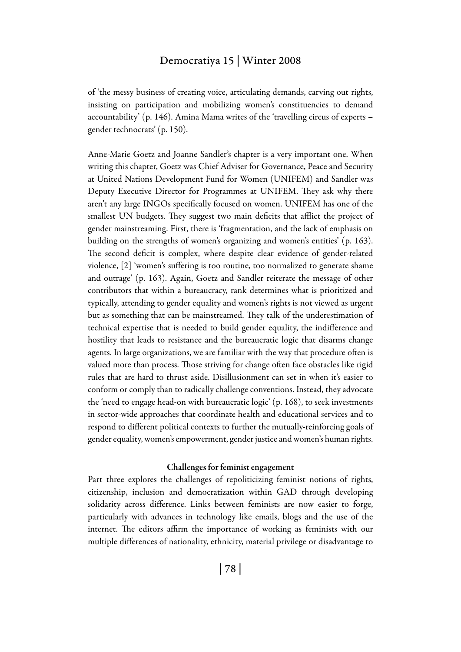## Democratiya 15 | Winter 2008

of 'the messy business of creating voice, articulating demands, carving out rights, insisting on participation and mobilizing women's constituencies to demand accountability' (p. 146). Amina Mama writes of the 'travelling circus of experts – gender technocrats' (p. 150).

Anne-Marie Goetz and Joanne Sandler's chapter is a very important one. When writing this chapter, Goetz was Chief Adviser for Governance, Peace and Security at United Nations Development Fund for Women (UNIFEM) and Sandler was Deputy Executive Director for Programmes at UNIFEM. They ask why there aren't any large INGOs specifically focused on women. UNIFEM has one of the smallest UN budgets. They suggest two main deficits that afflict the project of gender mainstreaming. First, there is 'fragmentation, and the lack of emphasis on building on the strengths of women's organizing and women's entities' (p. 163). The second deficit is complex, where despite clear evidence of gender-related violence, [2] 'women's suffering is too routine, too normalized to generate shame and outrage' (p. 163). Again, Goetz and Sandler reiterate the message of other contributors that within a bureaucracy, rank determines what is prioritized and typically, attending to gender equality and women's rights is not viewed as urgent but as something that can be mainstreamed. They talk of the underestimation of technical expertise that is needed to build gender equality, the indifference and hostility that leads to resistance and the bureaucratic logic that disarms change agents. In large organizations, we are familiar with the way that procedure often is valued more than process. Those striving for change often face obstacles like rigid rules that are hard to thrust aside. Disillusionment can set in when it's easier to conform or comply than to radically challenge conventions. Instead, they advocate the 'need to engage head-on with bureaucratic logic' (p. 168), to seek investments in sector-wide approaches that coordinate health and educational services and to respond to different political contexts to further the mutually-reinforcing goals of gender equality, women's empowerment, gender justice and women's human rights.

#### Challenges for feminist engagement

Part three explores the challenges of repoliticizing feminist notions of rights, citizenship, inclusion and democratization within GAD through developing solidarity across difference. Links between feminists are now easier to forge, particularly with advances in technology like emails, blogs and the use of the internet. The editors affirm the importance of working as feminists with our multiple differences of nationality, ethnicity, material privilege or disadvantage to

| 78 |